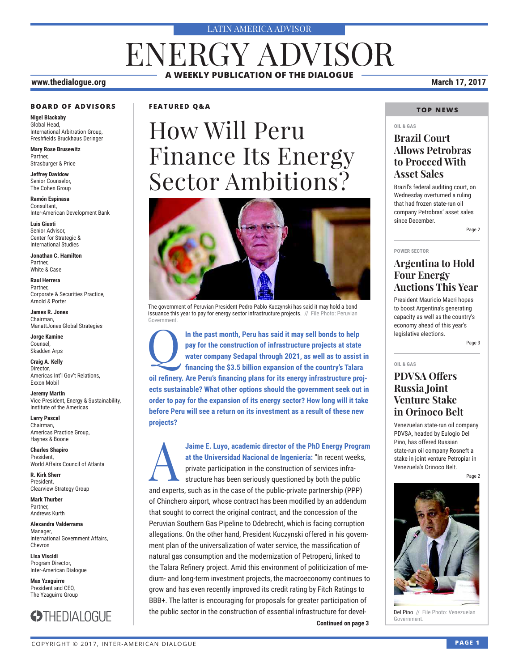#### LATIN AMERICA ADVISOR

## ENERGY ADVISOR **A WEEKLY PUBLICATION OF THE DIALOGUE**

#### **www.thedialogue.org March 17, 2017**

#### **BOARD OF ADVISORS**

**Nigel Blackaby** Global Head, International Arbitration Group, Freshfields Bruckhaus Deringer

**Mary Rose Brusewitz** Partner, Strasburger & Price

**Jeffrey Davidow** Senior Counselor, The Cohen Group

**Ramón Espinasa** Consultant, Inter-American Development Bank

**Luis Giusti** Senior Advisor, Center for Strategic & International Studies

**Jonathan C. Hamilton** Partner, White & Case

**Raul Herrera** Partner, Corporate & Securities Practice, Arnold & Porter

**James R. Jones** Chairman, ManattJones Global Strategies

**Jorge Kamine** Counsel, Skadden Arps

**Craig A. Kelly** Director, Americas Int'l Gov't Relations, Exxon Mobil

**Jeremy Martin** Vice President, Energy & Sustainability, Institute of the Americas

**Larry Pascal** Chairman, Americas Practice Group, Haynes & Boone

**Charles Shapiro** President, World Affairs Council of Atlanta

**R. Kirk Sherr** President, Clearview Strategy Group

**Mark Thurber** Partner, Andrews Kurth

**Alexandra Valderrama** Manager, International Government Affairs, Chevron

**Lisa Viscidi** Program Director, Inter-American Dialogue

**Max Yzaguirre** President and CEO, The Yzaguirre Group



#### **FEATURED Q&A**

## How Will Peru Finance Its Energy Sector Ambitions?



The government of Peruvian President Pedro Pablo Kuczynski has said it may hold a bond issuance this year to pay for energy sector infrastructure projects. // File Photo: Peruvian Government.

 $\overline{Q}$ **In the past month, Peru has said it may sell bonds to help pay for the construction of infrastructure projects at state water company Sedapal through 2021, as well as to assist in fi nancing the \$3.5 billion expansion of the country's Talara oil refi nery. Are Peru's fi nancing plans for its energy infrastructure projects sustainable? What other options should the government seek out in order to pay for the expansion of its energy sector? How long will it take before Peru will see a return on its investment as a result of these new projects?**

**Continued on page 3 Continued on page 3** A **Jaime E. Luyo, academic director of the PhD Energy Program at the Universidad Nacional de Ingeniería:** "In recent weeks, private participation in the construction of services infrastructure has been seriously questioned by both the public and experts, such as in the case of the public-private partnership (PPP) of Chinchero airport, whose contract has been modified by an addendum that sought to correct the original contract, and the concession of the Peruvian Southern Gas Pipeline to Odebrecht, which is facing corruption allegations. On the other hand, President Kuczynski offered in his government plan of the universalization of water service, the massification of natural gas consumption and the modernization of Petroperú, linked to the Talara Refinery project. Amid this environment of politicization of medium- and long-term investment projects, the macroeconomy continues to grow and has even recently improved its credit rating by Fitch Ratings to BBB+. The latter is encouraging for proposals for greater participation of the public sector in the construction of essential infrastructure for devel-

#### **TOP NEWS**

#### **OIL & GAS**

#### **Brazil Court Allows Petrobras to Proceed With Asset Sales**

Brazil's federal auditing court, on Wednesday overturned a ruling that had frozen state-run oil company Petrobras' asset sales since December.

Page 2

#### **POWER SECTOR**

#### **Argentina to Hold Four Energy Auctions This Year**

President Mauricio Macri hopes to boost Argentina's generating capacity as well as the country's economy ahead of this year's legislative elections.

Page 3

#### **OIL & GAS**

#### **PDVSA Offers Russia Joint Venture Stake in Orinoco Belt**

Venezuelan state-run oil company PDVSA, headed by Eulogio Del Pino, has offered Russian state-run oil company Rosneft a stake in joint venture Petropiar in Venezuela's Orinoco Belt.

Page 2



Del Pino // File Photo: Venezuelan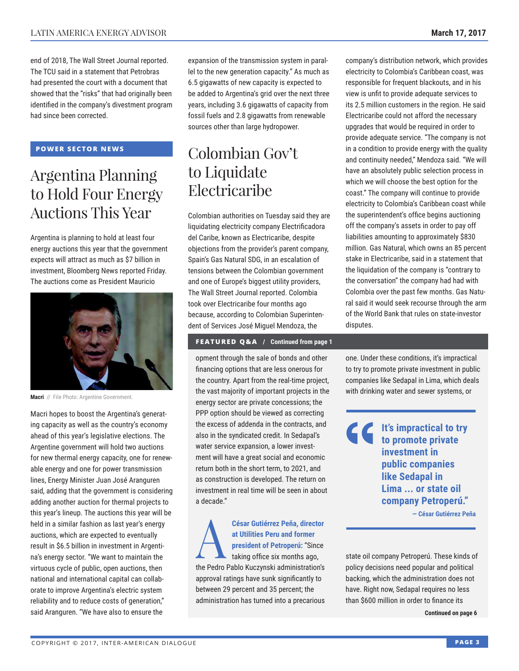end of 2018, The Wall Street Journal reported. The TCU said in a statement that Petrobras had presented the court with a document that showed that the "risks" that had originally been identified in the company's divestment program had since been corrected.

#### **POWER SECTOR NEWS**

## Argentina Planning to Hold Four Energy Auctions This Year

Argentina is planning to hold at least four energy auctions this year that the government expects will attract as much as \$7 billion in investment, Bloomberg News reported Friday. The auctions come as President Mauricio



**Macri** // File Photo: Argentine Government.

Macri hopes to boost the Argentina's generating capacity as well as the country's economy ahead of this year's legislative elections. The Argentine government will hold two auctions for new thermal energy capacity, one for renewable energy and one for power transmission lines, Energy Minister Juan José Aranguren said, adding that the government is considering adding another auction for thermal projects to this year's lineup. The auctions this year will be held in a similar fashion as last year's energy auctions, which are expected to eventually result in \$6.5 billion in investment in Argentina's energy sector. "We want to maintain the virtuous cycle of public, open auctions, then national and international capital can collaborate to improve Argentina's electric system reliability and to reduce costs of generation," said Aranguren. "We have also to ensure the

expansion of the transmission system in parallel to the new generation capacity." As much as 6.5 gigawatts of new capacity is expected to be added to Argentina's grid over the next three years, including 3.6 gigawatts of capacity from fossil fuels and 2.8 gigawatts from renewable sources other than large hydropower.

## Colombian Gov't to Liquidate Electricaribe

Colombian authorities on Tuesday said they are liquidating electricity company Electrificadora del Caribe, known as Electricaribe, despite objections from the provider's parent company, Spain's Gas Natural SDG, in an escalation of tensions between the Colombian government and one of Europe's biggest utility providers, The Wall Street Journal reported. Colombia took over Electricaribe four months ago because, according to Colombian Superintendent of Services José Miguel Mendoza, the

#### **FEATURED Q&A / Continued from page 1**

opment through the sale of bonds and other financing options that are less onerous for the country. Apart from the real-time project, the vast majority of important projects in the energy sector are private concessions; the PPP option should be viewed as correcting the excess of addenda in the contracts, and also in the syndicated credit. In Sedapal's water service expansion, a lower investment will have a great social and economic return both in the short term, to 2021, and as construction is developed. The return on investment in real time will be seen in about a decade."

A **César Gutiérrez Peña, director at Utilities Peru and former president of Petroperú:** "Since taking office six months ago, the Pedro Pablo Kuczynski administration's approval ratings have sunk significantly to between 29 percent and 35 percent; the administration has turned into a precarious company's distribution network, which provides electricity to Colombia's Caribbean coast, was responsible for frequent blackouts, and in his view is unfit to provide adequate services to its 2.5 million customers in the region. He said Electricaribe could not afford the necessary upgrades that would be required in order to provide adequate service. "The company is not in a condition to provide energy with the quality and continuity needed," Mendoza said. "We will have an absolutely public selection process in which we will choose the best option for the coast." The company will continue to provide electricity to Colombia's Caribbean coast while the superintendent's office begins auctioning off the company's assets in order to pay off liabilities amounting to approximately \$830 million. Gas Natural, which owns an 85 percent stake in Electricaribe, said in a statement that the liquidation of the company is "contrary to the conversation" the company had had with Colombia over the past few months. Gas Natural said it would seek recourse through the arm of the World Bank that rules on state-investor disputes.

one. Under these conditions, it's impractical to try to promote private investment in public companies like Sedapal in Lima, which deals with drinking water and sewer systems, or

**It's impractical to try to promote private investment in public companies like Sedapal in Lima ... or state oil company Petroperú." — César Gutiérrez Peña**

state oil company Petroperú. These kinds of policy decisions need popular and political backing, which the administration does not have. Right now, Sedapal requires no less than \$600 million in order to finance its

**Continued on page 6**